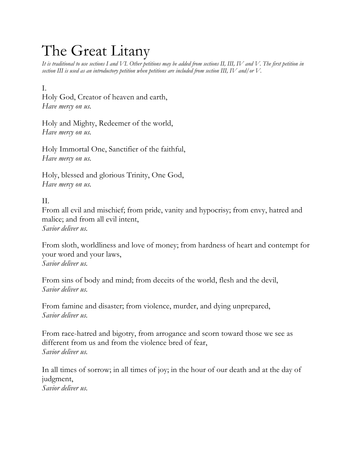## The Great Litany

*It is traditional to use sections I and VI. Other petitions may be added from sections II, III, IV and V. The first petition in section III is used as an introductory petition when petitions are included from section III, IV and/or V.* 

## I.

Holy God, Creator of heaven and earth, *Have mercy on us.*

Holy and Mighty, Redeemer of the world, *Have mercy on us.* 

Holy Immortal One, Sanctifier of the faithful, *Have mercy on us.* 

Holy, blessed and glorious Trinity, One God, *Have mercy on us.*

## II.

From all evil and mischief; from pride, vanity and hypocrisy; from envy, hatred and malice; and from all evil intent, *Savior deliver us.* 

From sloth, worldliness and love of money; from hardness of heart and contempt for your word and your laws, *Savior deliver us.* 

From sins of body and mind; from deceits of the world, flesh and the devil, *Savior deliver us.* 

From famine and disaster; from violence, murder, and dying unprepared, *Savior deliver us.* 

From race-hatred and bigotry, from arrogance and scorn toward those we see as different from us and from the violence bred of fear, *Savior deliver us.*

In all times of sorrow; in all times of joy; in the hour of our death and at the day of judgment, *Savior deliver us.*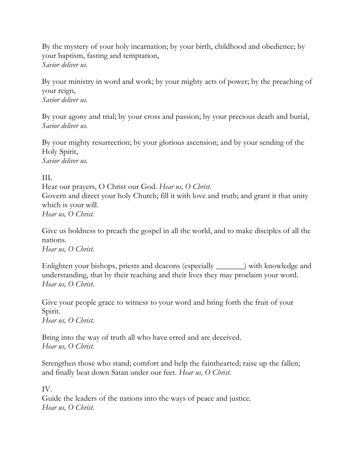By the mystery of your holy incarnation; by your birth, childhood and obedience; by your baptism, fasting and temptation, *Savior deliver us.* 

By your ministry in word and work; by your mighty acts of power; by the preaching of your reign,

*Savior deliver us.*

By your agony and trial; by your cross and passion; by your precious death and burial, *Savior deliver us.*

By your mighty resurrection; by your glorious ascension; and by your sending of the Holy Spirit, *Savior deliver us.*

III.

Hear our prayers, O Christ our God. *Hear us, O Christ.*  Govern and direct your holy Church; fill it with love and truth; and grant it that unity which is your will. *Hear us, O Christ.* 

Give us boldness to preach the gospel in all the world, and to make disciples of all the nations.

*Hear us, O Christ.* 

Enlighten your bishops, priests and deacons (especially \_\_\_\_\_\_\_) with knowledge and understanding, that by their teaching and their lives they may proclaim your word. *Hear us, O Christ.* 

Give your people grace to witness to your word and bring forth the fruit of your Spirit. *Hear us, O Christ.* 

Bring into the way of truth all who have erred and are deceived. *Hear us, O Christ.* 

Strengthen those who stand; comfort and help the fainthearted; raise up the fallen; and finally beat down Satan under our feet. *Hear us, O Christ.* 

IV.

Guide the leaders of the nations into the ways of peace and justice. *Hear us, O Christ.*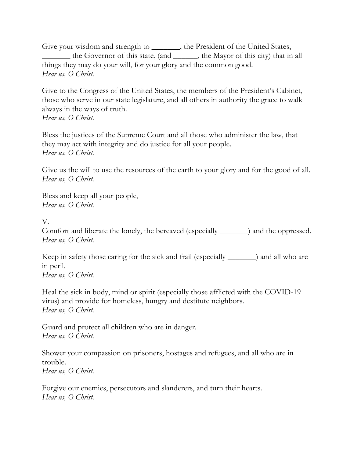Give your wisdom and strength to \_\_\_\_\_\_\_, the President of the United States, \_\_\_\_\_\_\_ the Governor of this state, (and \_\_\_\_\_\_, the Mayor of this city) that in all things they may do your will, for your glory and the common good. *Hear us, O Christ.* 

Give to the Congress of the United States, the members of the President's Cabinet, those who serve in our state legislature, and all others in authority the grace to walk always in the ways of truth.

*Hear us, O Christ.* 

Bless the justices of the Supreme Court and all those who administer the law, that they may act with integrity and do justice for all your people. *Hear us, O Christ.* 

Give us the will to use the resources of the earth to your glory and for the good of all. *Hear us, O Christ.* 

Bless and keep all your people, *Hear us, O Christ.* 

V.

Comfort and liberate the lonely, the bereaved (especially \_\_\_\_\_\_\_) and the oppressed. *Hear us, O Christ.* 

Keep in safety those caring for the sick and frail (especially \_\_\_\_\_\_\_) and all who are in peril. *Hear us, O Christ.* 

Heal the sick in body, mind or spirit (especially those afflicted with the COVID-19 virus) and provide for homeless, hungry and destitute neighbors. *Hear us, O Christ.* 

Guard and protect all children who are in danger. *Hear us, O Christ.* 

Shower your compassion on prisoners, hostages and refugees, and all who are in trouble. *Hear us, O Christ.* 

Forgive our enemies, persecutors and slanderers, and turn their hearts. *Hear us, O Christ.*